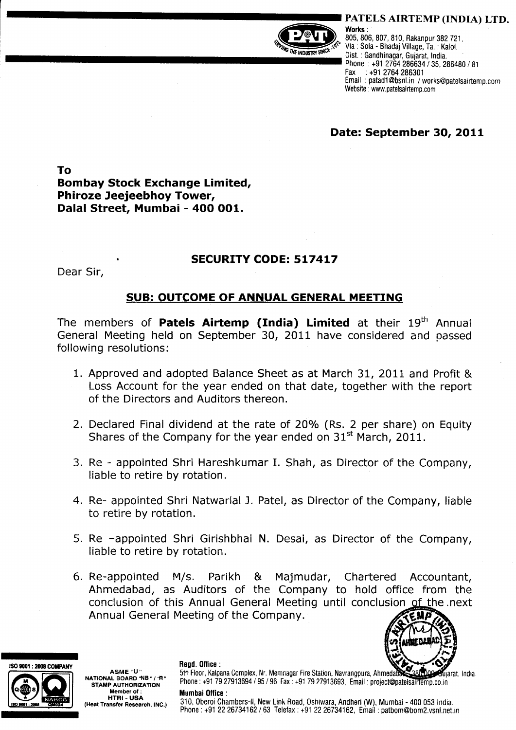



PATELS AIRTEMP (INDIA) LTD.<br>Works :<br>*R*, *Roffice* (*Reg. 306, 807, 810, Rakanpur 382 721,*<br>*He indiges sings* sing of the sola - Bhadaj Village, Ta.: Kalol. Dist. : Gandhinagar, Gujarat, India. Phone : +91 2764 286634 / 35, 286480 / 81<br>Fax : +91 2764 286301  $\pm$  +91 2764 286301 Email : patadl@bsnl.in / works@patelsairtemp.com Website : www.patelsairtemp.com

## Date: September 30, 2O11

To Bombay Stock Exchange Limited, Phiroze Jeejeebhoy Tower, Dalal Street, Mumbai - 4OO OO1.

## Dear Sir, **SECURITY CODE: 517417**

## SUB: OUTCOME OF ANNUAL GENERAL MEETING

The members of **Patels Airtemp (India) Limited** at their  $19<sup>th</sup>$  Annual General Meeting held on September 30,2011 have considered and passed following resolutions:

- 1. Approved and adopted Balance Sheet as at March 31, 2011 and Profit & Loss Account for the year ended on that date, together with the report of the Directors and Auditors thereon.
- 2. Declared Final dividend at the rate of 20% (Rs. 2 per share) on Equity Shares of the Company for the year ended on  $31<sup>st</sup>$  March, 2011.
- 3. Re appointed Shri Hareshkumar I. Shah, as Director of the Company, liable to retire by rotation.
- 4. Re- appointed Shri Natwarlal l. Patel, as Director of the Company, liable to retire bv rotation.
- 5. Re -appointed Shri Girishbhai N. Desai, as Director of the Company, liable to retire by rotation.
- 6. Re-appointed M/s. Parikh & Majmudar, Chartered Accountant, Ahmedabad, as Auditors of the Company to hold office from the conclusion of this Annual General Meeting until conclusion of the next Annual General Meeting of the Company.



ISO 9001 : 2008 COMPANY



asME ^u" NATIONAL BOARD 'NB " / "R" STAMP AUTHORIZATION Member of : HTRI - USA (Heat Transfer Research, INC.) Read. Office :

5th Floor, Kalpana Complex, Nr. Memnagar Fire Station, Navrangpura, Ahmedal ujarat, India. Phone: +91 79 27913694 / 95 / 96 Fax: +91 79 27913693, Email: project@patelsairtemp.co.in

Mumbai Office :

310, 0beroi Chambers-ll, New Link Road, 0shiwara, Andheri (W), Mumbai - 400 053 lndia. Phone : +91 2226734162 / 63 Telefax : +91 2226734162, Email : patbom@bom2.vsnl.net.in